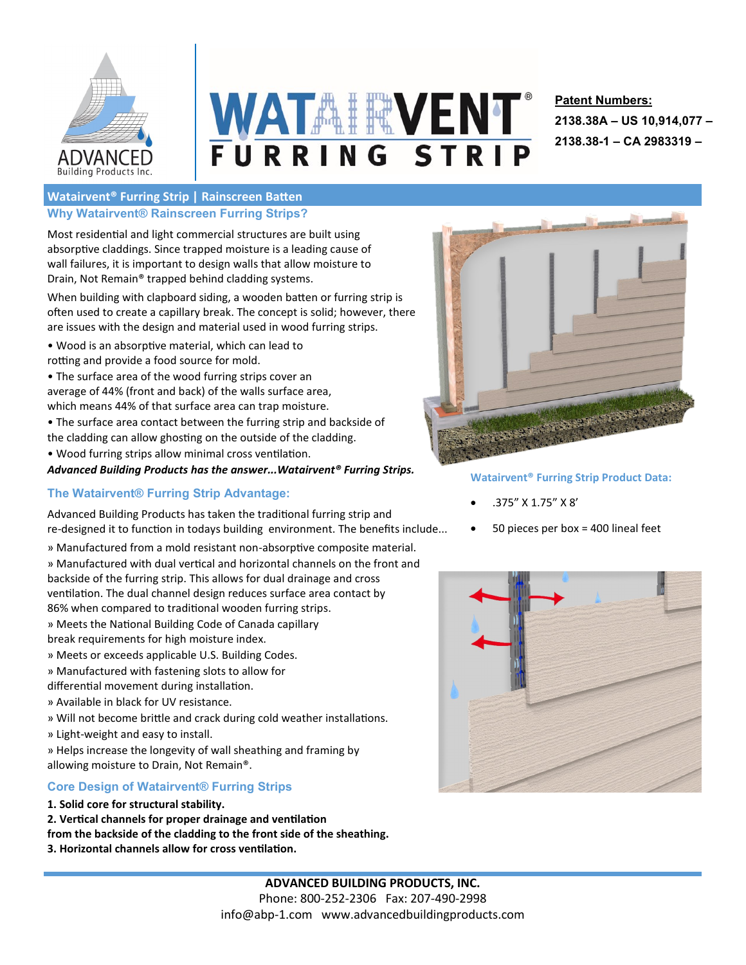

# **WATAIRVENT** FURRING STRIP

## **Patent Numbers: 2138.38A – US 10,914,077 – 2138.38-1 – CA 2983319 –**

#### **Watairvent® Furring Strip | Rainscreen Batten Why Watairvent® Rainscreen Furring Strips?**

Most residential and light commercial structures are built using absorptive claddings. Since trapped moisture is a leading cause of wall failures, it is important to design walls that allow moisture to Drain, Not Remain® trapped behind cladding systems.

When building with clapboard siding, a wooden batten or furring strip is often used to create a capillary break. The concept is solid; however, there are issues with the design and material used in wood furring strips.

- Wood is an absorptive material, which can lead to rotting and provide a food source for mold.
- The surface area of the wood furring strips cover an average of 44% (front and back) of the walls surface area, which means 44% of that surface area can trap moisture.
- The surface area contact between the furring strip and backside of the cladding can allow ghosting on the outside of the cladding.
- Wood furring strips allow minimal cross ventilation.



### **The Watairvent® Furring Strip Advantage:**

Advanced Building Products has taken the traditional furring strip and re-designed it to function in todays building environment. The benefits include...

- » Manufactured from a mold resistant non-absorptive composite material. » Manufactured with dual vertical and horizontal channels on the front and backside of the furring strip. This allows for dual drainage and cross ventilation. The dual channel design reduces surface area contact by 86% when compared to traditional wooden furring strips.
- » Meets the National Building Code of Canada capillary
- break requirements for high moisture index.
- » Meets or exceeds applicable U.S. Building Codes.
- » Manufactured with fastening slots to allow for
- differential movement during installation.
- » Available in black for UV resistance.
- » Will not become brittle and crack during cold weather installations.
- » Light-weight and easy to install.
- » Helps increase the longevity of wall sheathing and framing by allowing moisture to Drain, Not Remain®.

#### **Core Design of Watairvent® Furring Strips**

- **1. Solid core for structural stability.**
- **2. Vertical channels for proper drainage and ventilation from the backside of the cladding to the front side of the sheathing. 3. Horizontal channels allow for cross ventilation.**



**Watairvent® Furring Strip Product Data:**

- .375" X 1.75" X 8'
- 50 pieces per box = 400 lineal feet